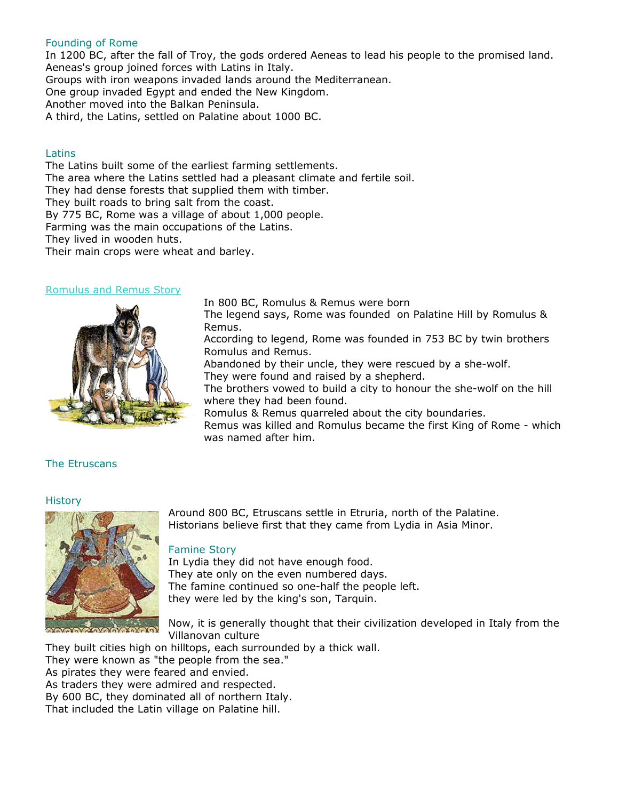## Founding of Rome

In 1200 BC, after the fall of Troy, the gods ordered Aeneas to lead his people to the promised land. Aeneas's group joined forces with Latins in Italy. Groups with iron weapons invaded lands around the Mediterranean. One group invaded Egypt and ended the New Kingdom. Another moved into the Balkan Peninsula. A third, the Latins, settled on Palatine about 1000 BC.

#### Latins

The Latins built some of the earliest farming settlements. The area where the Latins settled had a pleasant climate and fertile soil. They had dense forests that supplied them with timber. They built roads to bring salt from the coast. By 775 BC, Rome was a village of about 1,000 people. Farming was the main occupations of the Latins. They lived in wooden huts. Their main crops were wheat and barley.

#### [Romulus and Remus Story](http://historyonthenet.com/Romans/legend_of_rome.htm)



The legend says, Rome was founded on Palatine Hill by Romulus & Remus.

According to legend, Rome was founded in 753 BC by twin brothers Romulus and Remus.

Abandoned by their uncle, they were rescued by a she-wolf. They were found and raised by a shepherd.

The brothers vowed to build a city to honour the she-wolf on the hill where they had been found.

Romulus & Remus quarreled about the city boundaries.

Remus was killed and Romulus became the first King of Rome - which was named after him.

# The Etruscans

## **History**



Around 800 BC, Etruscans settle in Etruria, north of the Palatine. Historians believe first that they came from Lydia in Asia Minor.

# Famine Story

In Lydia they did not have enough food. They ate only on the even numbered days. The famine continued so one-half the people left. they were led by the king's son, Tarquin.

Now, it is generally thought that their civilization developed in Italy from the Villanovan culture

They built cities high on hilltops, each surrounded by a thick wall. They were known as "the people from the sea." As pirates they were feared and envied. As traders they were admired and respected. By 600 BC, they dominated all of northern Italy. That included the Latin village on Palatine hill.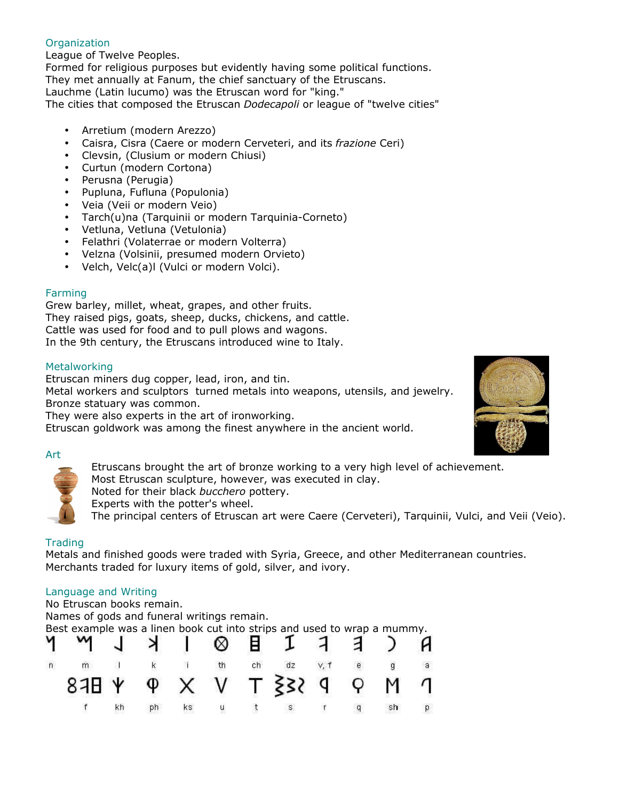# **Organization**

League of Twelve Peoples.

Formed for religious purposes but evidently having some political functions. They met annually at Fanum, the chief sanctuary of the Etruscans. Lauchme (Latin lucumo) was the Etruscan word for "king." The cities that composed the Etruscan *Dodecapoli* or league of "twelve cities"

- Arretium (modern Arezzo)
- Caisra, Cisra (Caere or modern Cerveteri, and its *frazione* Ceri)
- Clevsin, (Clusium or modern Chiusi)
- Curtun (modern Cortona)
- Perusna (Perugia)
- Pupluna, Fufluna (Populonia)
- Veia (Veii or modern Veio)
- Tarch(u)na (Tarquinii or modern Tarquinia-Corneto)
- Vetluna, Vetluna (Vetulonia)
- Felathri (Volaterrae or modern Volterra)
- Velzna (Volsinii, presumed modern Orvieto)
- Velch, Velc(a)l (Vulci or modern Volci).

# Farming

Grew barley, millet, wheat, grapes, and other fruits. They raised pigs, goats, sheep, ducks, chickens, and cattle. Cattle was used for food and to pull plows and wagons. In the 9th century, the Etruscans introduced wine to Italy.

# **Metalworking**

Etruscan miners dug copper, lead, iron, and tin. Metal workers and sculptors turned metals into weapons, utensils, and jewelry. Bronze statuary was common.

They were also experts in the art of ironworking.

Etruscan goldwork was among the finest anywhere in the ancient world.

## Art

Etruscans brought the art of bronze working to a very high level of achievement.

Most Etruscan sculpture, however, was executed in clay.

Noted for their black *bucchero* pottery.

Experts with the potter's wheel.

The principal centers of Etruscan art were Caere (Cerveteri), Tarquinii, Vulci, and Veii (Veio).

# **Trading**

Metals and finished goods were traded with Syria, Greece, and other Mediterranean countries. Merchants traded for luxury items of gold, silver, and ivory.

# Language and Writing

No Etruscan books remain.

Names of gods and funeral writings remain.

Best example was a linen book cut into strips and used to wrap a mummy.

|   | Y Y J ≯ I ⊗ B I 7 ∃ ) A        |    |            |      |  |  |               |  |
|---|--------------------------------|----|------------|------|--|--|---------------|--|
| n | m                              |    | $k = 1$ th |      |  |  | dz v, f e g a |  |
|   | <b>P H 9 X V T 332 9 9 M 1</b> |    |            |      |  |  |               |  |
|   |                                | ķh |            | ks u |  |  |               |  |

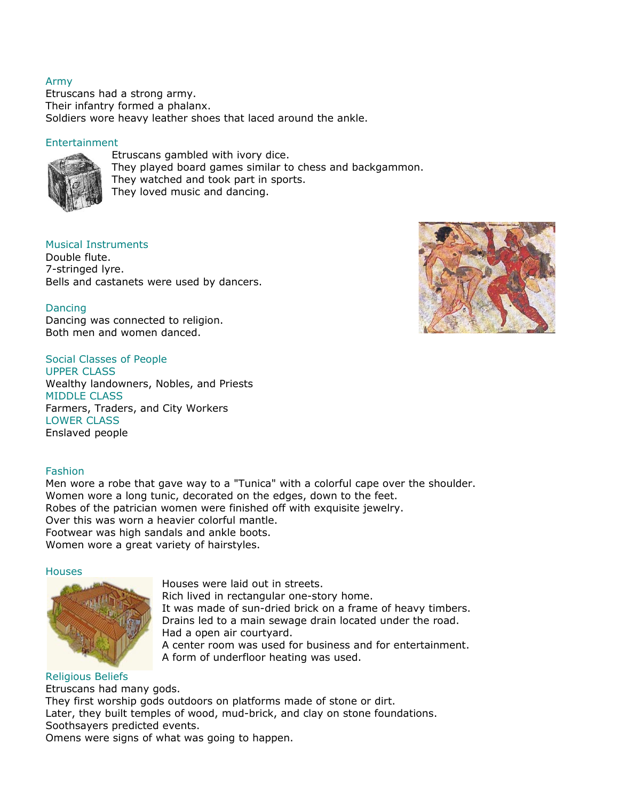## Army

Etruscans had a strong army. Their infantry formed a phalanx. Soldiers wore heavy leather shoes that laced around the ankle.

# Entertainment



Etruscans gambled with ivory dice. They played board games similar to chess and backgammon. They watched and took part in sports. They loved music and dancing.

# Musical Instruments

Double flute. 7-stringed lyre. Bells and castanets were used by dancers.

# Dancing

Dancing was connected to religion. Both men and women danced.

# Social Classes of People

UPPER CLASS Wealthy landowners, Nobles, and Priests MIDDLE CLASS Farmers, Traders, and City Workers LOWER CLASS Enslaved people

## Fashion

Men wore a robe that gave way to a "Tunica" with a colorful cape over the shoulder. Women wore a long tunic, decorated on the edges, down to the feet. Robes of the patrician women were finished off with exquisite jewelry. Over this was worn a heavier colorful mantle. Footwear was high sandals and ankle boots. Women wore a great variety of hairstyles.

#### **Houses**



Houses were laid out in streets. Rich lived in rectangular one-story home. It was made of sun-dried brick on a frame of heavy timbers. Drains led to a main sewage drain located under the road. Had a open air courtyard. A center room was used for business and for entertainment. A form of underfloor heating was used.

Religious Beliefs Etruscans had many gods. They first worship gods outdoors on platforms made of stone or dirt. Later, they built temples of wood, mud-brick, and clay on stone foundations. Soothsayers predicted events. Omens were signs of what was going to happen.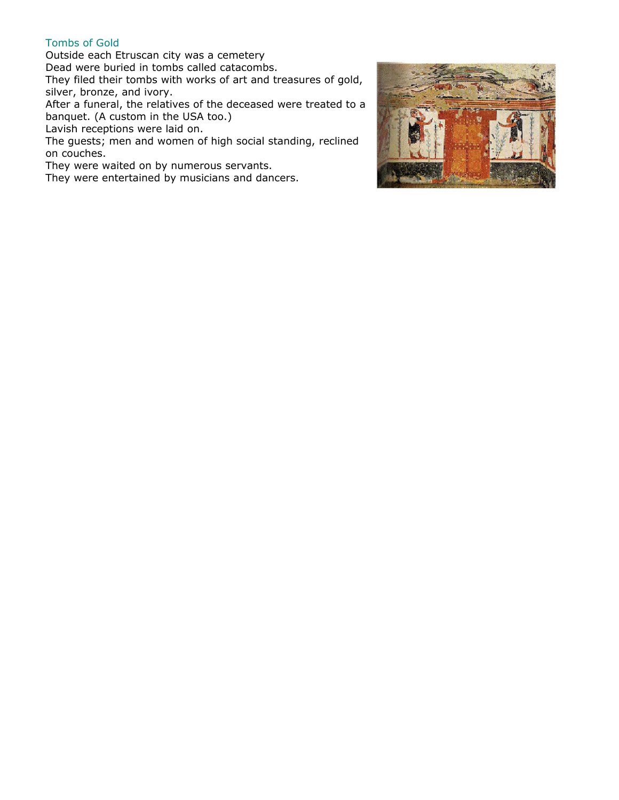# Tombs of Gold

Outside each Etruscan city was a cemetery Dead were buried in tombs called catacombs.

They filed their tombs with works of art and treasures of gold, silver, bronze, and ivory.

After a funeral, the relatives of the deceased were treated to a banquet. (A custom in the USA too.)

Lavish receptions were laid on.

The guests; men and women of high social standing, reclined on couches.

They were waited on by numerous servants.

They were entertained by musicians and dancers.